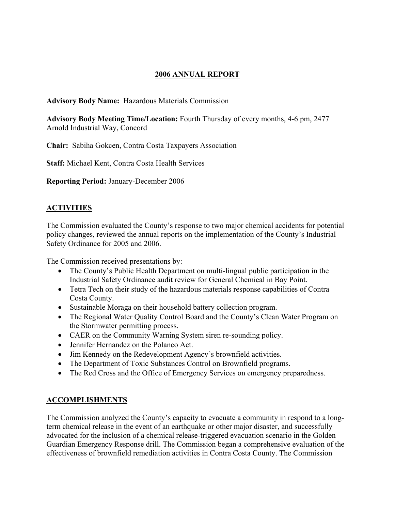# **2006 ANNUAL REPORT**

**Advisory Body Name:** Hazardous Materials Commission

**Advisory Body Meeting Time/Location:** Fourth Thursday of every months, 4-6 pm, 2477 Arnold Industrial Way, Concord

**Chair:** Sabiha Gokcen, Contra Costa Taxpayers Association

**Staff:** Michael Kent, Contra Costa Health Services

**Reporting Period:** January-December 2006

# **ACTIVITIES**

The Commission evaluated the County's response to two major chemical accidents for potential policy changes, reviewed the annual reports on the implementation of the County's Industrial Safety Ordinance for 2005 and 2006.

The Commission received presentations by:

- The County's Public Health Department on multi-lingual public participation in the Industrial Safety Ordinance audit review for General Chemical in Bay Point.
- Tetra Tech on their study of the hazardous materials response capabilities of Contra Costa County.
- Sustainable Moraga on their household battery collection program.
- The Regional Water Quality Control Board and the County's Clean Water Program on the Stormwater permitting process.
- CAER on the Community Warning System siren re-sounding policy.
- Jennifer Hernandez on the Polanco Act.
- Jim Kennedy on the Redevelopment Agency's brownfield activities.
- The Department of Toxic Substances Control on Brownfield programs.
- The Red Cross and the Office of Emergency Services on emergency preparedness.

# **ACCOMPLISHMENTS**

The Commission analyzed the County's capacity to evacuate a community in respond to a longterm chemical release in the event of an earthquake or other major disaster, and successfully advocated for the inclusion of a chemical release-triggered evacuation scenario in the Golden Guardian Emergency Response drill. The Commission began a comprehensive evaluation of the effectiveness of brownfield remediation activities in Contra Costa County. The Commission